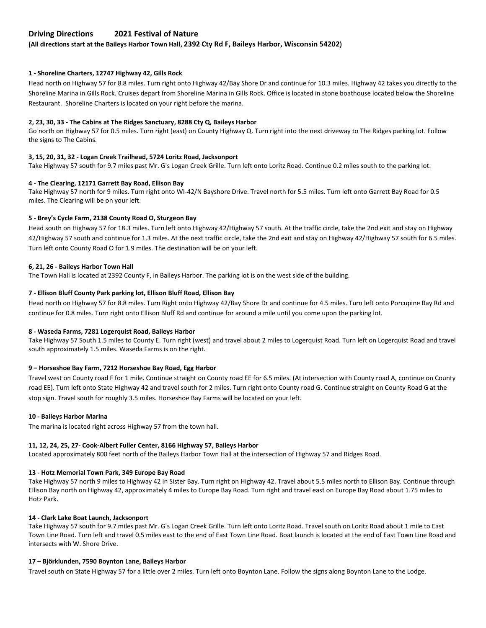# **Driving Directions 2021 Festival of Nature**

# **(All directions start at the Baileys Harbor Town Hall, 2392 Cty Rd F, Baileys Harbor, Wisconsin 54202)**

### **1 - Shoreline Charters, 12747 Highway 42, Gills Rock**

Head north on Highway 57 for 8.8 miles. Turn right onto Highway 42/Bay Shore Dr and continue for 10.3 miles. Highway 42 takes you directly to the Shoreline Marina in Gills Rock. Cruises depart from Shoreline Marina in Gills Rock. Office is located in stone boathouse located below the Shoreline Restaurant. Shoreline Charters is located on your right before the marina.

### **2, 23, 30, 33 - The Cabins at The Ridges Sanctuary, 8288 Cty Q, Baileys Harbor**

Go north on Highway 57 for 0.5 miles. Turn right (east) on County Highway Q. Turn right into the next driveway to The Ridges parking lot. Follow the signs to The Cabins.

### **3, 15, 20, 31, 32 - Logan Creek Trailhead, 5724 Loritz Road, Jacksonport**

Take Highway 57 south for 9.7 miles past Mr. G's Logan Creek Grille. Turn left onto Loritz Road. Continue 0.2 miles south to the parking lot.

### **4 - The Clearing, 12171 Garrett Bay Road, Ellison Bay**

Take Highway 57 north for 9 miles. Turn right onto WI-42/N Bayshore Drive. Travel north for 5.5 miles. Turn left onto Garrett Bay Road for 0.5 miles. The Clearing will be on your left.

### **5 - Brey's Cycle Farm, 2138 County Road O, Sturgeon Bay**

Head south on Highway 57 for 18.3 miles. Turn left onto Highway 42/Highway 57 south. At the traffic circle, take the 2nd exit and stay on Highway 42/Highway 57 south and continue for 1.3 miles. At the next traffic circle, take the 2nd exit and stay on Highway 42/Highway 57 south for 6.5 miles. Turn left onto County Road O for 1.9 miles. The destination will be on your left.

### **6, 21, 26 - Baileys Harbor Town Hall**

The Town Hall is located at 2392 County F, in Baileys Harbor. The parking lot is on the west side of the building.

### **7 - Ellison Bluff County Park parking lot, Ellison Bluff Road, Ellison Bay**

Head north on Highway 57 for 8.8 miles. Turn Right onto Highway 42/Bay Shore Dr and continue for 4.5 miles. Turn left onto Porcupine Bay Rd and continue for 0.8 miles. Turn right onto Ellison Bluff Rd and continue for around a mile until you come upon the parking lot.

# **8 - Waseda Farms, 7281 Logerquist Road, Baileys Harbor**

Take Highway 57 South 1.5 miles to County E. Turn right (west) and travel about 2 miles to Logerquist Road. Turn left on Logerquist Road and travel south approximately 1.5 miles. Waseda Farms is on the right.

# **9 – Horseshoe Bay Farm, 7212 Horseshoe Bay Road, Egg Harbor**

Travel west on County road F for 1 mile. Continue straight on County road EE for 6.5 miles. (At intersection with County road A, continue on County road EE). Turn left onto State Highway 42 and travel south for 2 miles. Turn right onto County road G. Continue straight on County Road G at the stop sign. Travel south for roughly 3.5 miles. Horseshoe Bay Farms will be located on your left.

#### **10 - Baileys Harbor Marina**

The marina is located right across Highway 57 from the town hall.

#### **11, 12, 24, 25, 27- Cook-Albert Fuller Center, 8166 Highway 57, Baileys Harbor**

Located approximately 800 feet north of the Baileys Harbor Town Hall at the intersection of Highway 57 and Ridges Road.

#### **13 - Hotz Memorial Town Park, 349 Europe Bay Road**

Take Highway 57 north 9 miles to Highway 42 in Sister Bay. Turn right on Highway 42. Travel about 5.5 miles north to Ellison Bay. Continue through Ellison Bay north on Highway 42, approximately 4 miles to Europe Bay Road. Turn right and travel east on Europe Bay Road about 1.75 miles to Hotz Park.

#### **14 - Clark Lake Boat Launch, Jacksonport**

Take Highway 57 south for 9.7 miles past Mr. G's Logan Creek Grille. Turn left onto Loritz Road. Travel south on Loritz Road about 1 mile to East Town Line Road. Turn left and travel 0.5 miles east to the end of East Town Line Road. Boat launch is located at the end of East Town Line Road and intersects with W. Shore Drive.

#### **17 – Björklunden, 7590 Boynton Lane, Baileys Harbor**

Travel south on State Highway 57 for a little over 2 miles. Turn left onto Boynton Lane. Follow the signs along Boynton Lane to the Lodge.